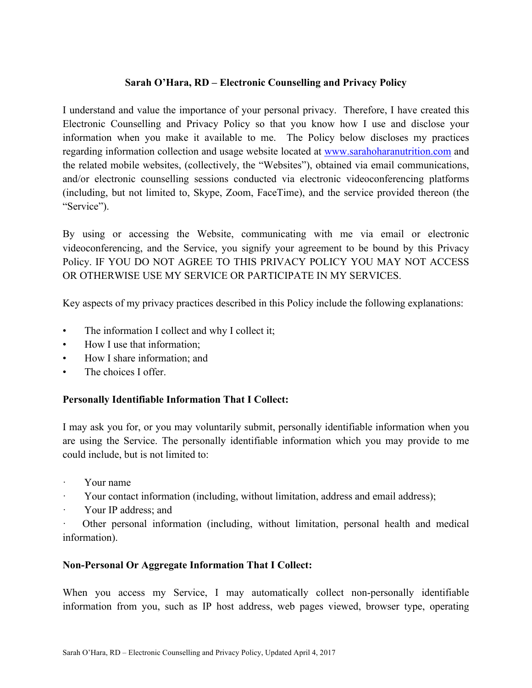## **Sarah O'Hara, RD – Electronic Counselling and Privacy Policy**

I understand and value the importance of your personal privacy. Therefore, I have created this Electronic Counselling and Privacy Policy so that you know how I use and disclose your information when you make it available to me. The Policy below discloses my practices regarding information collection and usage website located at www.sarahoharanutrition.com and the related mobile websites, (collectively, the "Websites"), obtained via email communications, and/or electronic counselling sessions conducted via electronic videoconferencing platforms (including, but not limited to, Skype, Zoom, FaceTime), and the service provided thereon (the "Service").

By using or accessing the Website, communicating with me via email or electronic videoconferencing, and the Service, you signify your agreement to be bound by this Privacy Policy. IF YOU DO NOT AGREE TO THIS PRIVACY POLICY YOU MAY NOT ACCESS OR OTHERWISE USE MY SERVICE OR PARTICIPATE IN MY SERVICES.

Key aspects of my privacy practices described in this Policy include the following explanations:

- The information I collect and why I collect it;
- How I use that information;
- How I share information; and
- The choices I offer.

### **Personally Identifiable Information That I Collect:**

I may ask you for, or you may voluntarily submit, personally identifiable information when you are using the Service. The personally identifiable information which you may provide to me could include, but is not limited to:

- Your name
- Your contact information (including, without limitation, address and email address);
- · Your IP address; and

Other personal information (including, without limitation, personal health and medical information).

### **Non-Personal Or Aggregate Information That I Collect:**

When you access my Service, I may automatically collect non-personally identifiable information from you, such as IP host address, web pages viewed, browser type, operating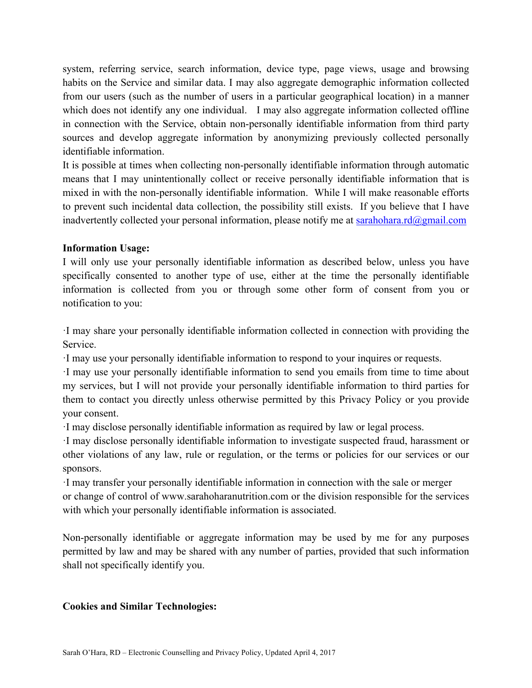system, referring service, search information, device type, page views, usage and browsing habits on the Service and similar data. I may also aggregate demographic information collected from our users (such as the number of users in a particular geographical location) in a manner which does not identify any one individual. I may also aggregate information collected offline in connection with the Service, obtain non-personally identifiable information from third party sources and develop aggregate information by anonymizing previously collected personally identifiable information.

It is possible at times when collecting non-personally identifiable information through automatic means that I may unintentionally collect or receive personally identifiable information that is mixed in with the non-personally identifiable information. While I will make reasonable efforts to prevent such incidental data collection, the possibility still exists. If you believe that I have inadvertently collected your personal information, please notify me at sarahohara.rd@gmail.com

### **Information Usage:**

I will only use your personally identifiable information as described below, unless you have specifically consented to another type of use, either at the time the personally identifiable information is collected from you or through some other form of consent from you or notification to you:

·I may share your personally identifiable information collected in connection with providing the Service.

·I may use your personally identifiable information to respond to your inquires or requests.

·I may use your personally identifiable information to send you emails from time to time about my services, but I will not provide your personally identifiable information to third parties for them to contact you directly unless otherwise permitted by this Privacy Policy or you provide your consent.

·I may disclose personally identifiable information as required by law or legal process.

·I may disclose personally identifiable information to investigate suspected fraud, harassment or other violations of any law, rule or regulation, or the terms or policies for our services or our sponsors.

·I may transfer your personally identifiable information in connection with the sale or merger or change of control of www.sarahoharanutrition.com or the division responsible for the services with which your personally identifiable information is associated.

Non-personally identifiable or aggregate information may be used by me for any purposes permitted by law and may be shared with any number of parties, provided that such information shall not specifically identify you.

### **Cookies and Similar Technologies:**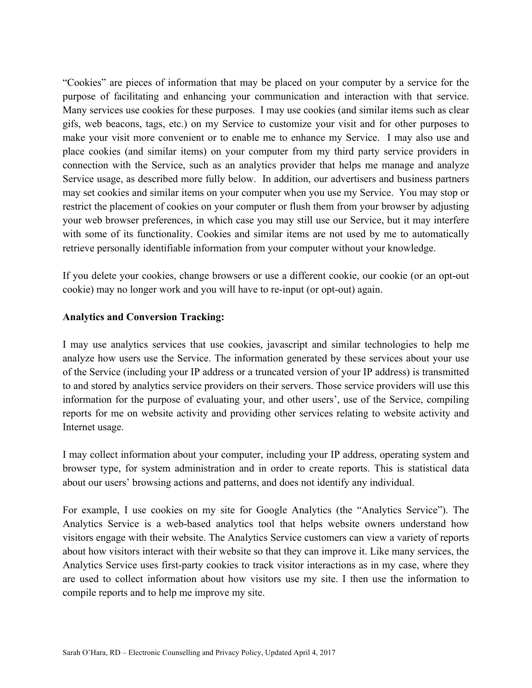"Cookies" are pieces of information that may be placed on your computer by a service for the purpose of facilitating and enhancing your communication and interaction with that service. Many services use cookies for these purposes. I may use cookies (and similar items such as clear gifs, web beacons, tags, etc.) on my Service to customize your visit and for other purposes to make your visit more convenient or to enable me to enhance my Service. I may also use and place cookies (and similar items) on your computer from my third party service providers in connection with the Service, such as an analytics provider that helps me manage and analyze Service usage, as described more fully below. In addition, our advertisers and business partners may set cookies and similar items on your computer when you use my Service. You may stop or restrict the placement of cookies on your computer or flush them from your browser by adjusting your web browser preferences, in which case you may still use our Service, but it may interfere with some of its functionality. Cookies and similar items are not used by me to automatically retrieve personally identifiable information from your computer without your knowledge.

If you delete your cookies, change browsers or use a different cookie, our cookie (or an opt-out cookie) may no longer work and you will have to re-input (or opt-out) again.

#### **Analytics and Conversion Tracking:**

I may use analytics services that use cookies, javascript and similar technologies to help me analyze how users use the Service. The information generated by these services about your use of the Service (including your IP address or a truncated version of your IP address) is transmitted to and stored by analytics service providers on their servers. Those service providers will use this information for the purpose of evaluating your, and other users', use of the Service, compiling reports for me on website activity and providing other services relating to website activity and Internet usage.

I may collect information about your computer, including your IP address, operating system and browser type, for system administration and in order to create reports. This is statistical data about our users' browsing actions and patterns, and does not identify any individual.

For example, I use cookies on my site for Google Analytics (the "Analytics Service"). The Analytics Service is a web-based analytics tool that helps website owners understand how visitors engage with their website. The Analytics Service customers can view a variety of reports about how visitors interact with their website so that they can improve it. Like many services, the Analytics Service uses first-party cookies to track visitor interactions as in my case, where they are used to collect information about how visitors use my site. I then use the information to compile reports and to help me improve my site.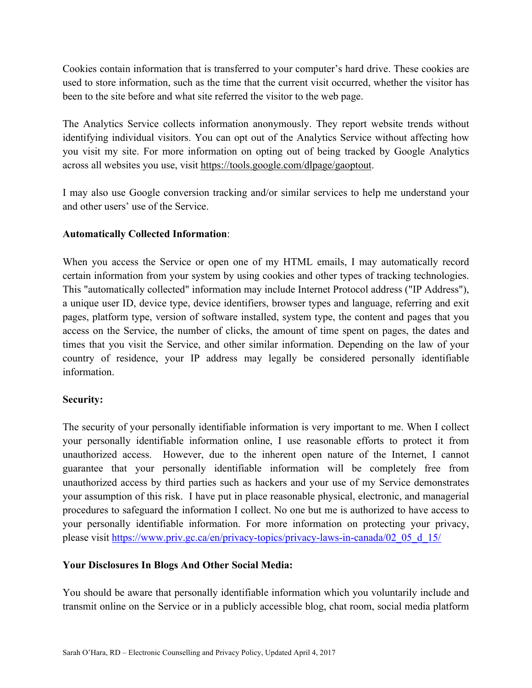Cookies contain information that is transferred to your computer's hard drive. These cookies are used to store information, such as the time that the current visit occurred, whether the visitor has been to the site before and what site referred the visitor to the web page.

The Analytics Service collects information anonymously. They report website trends without identifying individual visitors. You can opt out of the Analytics Service without affecting how you visit my site. For more information on opting out of being tracked by Google Analytics across all websites you use, visit https://tools.google.com/dlpage/gaoptout.

I may also use Google conversion tracking and/or similar services to help me understand your and other users' use of the Service.

# **Automatically Collected Information**:

When you access the Service or open one of my HTML emails, I may automatically record certain information from your system by using cookies and other types of tracking technologies. This "automatically collected" information may include Internet Protocol address ("IP Address"), a unique user ID, device type, device identifiers, browser types and language, referring and exit pages, platform type, version of software installed, system type, the content and pages that you access on the Service, the number of clicks, the amount of time spent on pages, the dates and times that you visit the Service, and other similar information. Depending on the law of your country of residence, your IP address may legally be considered personally identifiable information.

### **Security:**

The security of your personally identifiable information is very important to me. When I collect your personally identifiable information online, I use reasonable efforts to protect it from unauthorized access. However, due to the inherent open nature of the Internet, I cannot guarantee that your personally identifiable information will be completely free from unauthorized access by third parties such as hackers and your use of my Service demonstrates your assumption of this risk. I have put in place reasonable physical, electronic, and managerial procedures to safeguard the information I collect. No one but me is authorized to have access to your personally identifiable information. For more information on protecting your privacy, please visit https://www.priv.gc.ca/en/privacy-topics/privacy-laws-in-canada/02\_05\_d\_15/

# **Your Disclosures In Blogs And Other Social Media:**

You should be aware that personally identifiable information which you voluntarily include and transmit online on the Service or in a publicly accessible blog, chat room, social media platform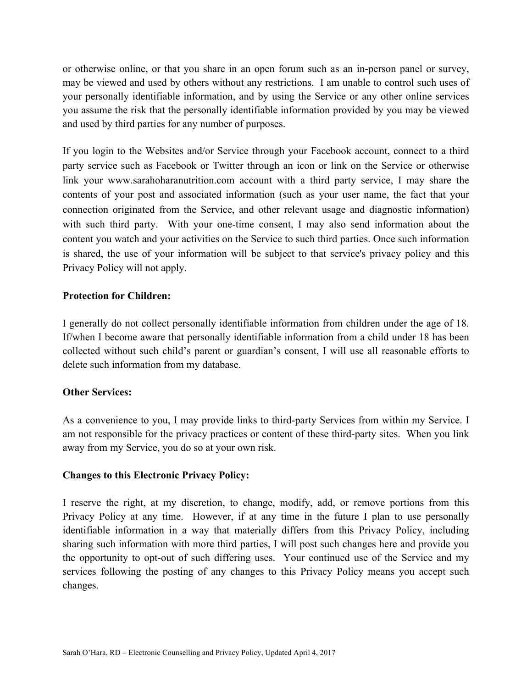or otherwise online, or that you share in an open forum such as an in-person panel or survey, may be viewed and used by others without any restrictions. I am unable to control such uses of your personally identifiable information, and by using the Service or any other online services you assume the risk that the personally identifiable information provided by you may be viewed and used by third parties for any number of purposes.

If you login to the Websites and/or Service through your Facebook account, connect to a third party service such as Facebook or Twitter through an icon or link on the Service or otherwise link your www.sarahoharanutrition.com account with a third party service, I may share the contents of your post and associated information (such as your user name, the fact that your connection originated from the Service, and other relevant usage and diagnostic information) with such third party. With your one-time consent, I may also send information about the content you watch and your activities on the Service to such third parties. Once such information is shared, the use of your information will be subject to that service's privacy policy and this Privacy Policy will not apply.

### **Protection for Children:**

I generally do not collect personally identifiable information from children under the age of 18. If/when I become aware that personally identifiable information from a child under 18 has been collected without such child's parent or guardian's consent, I will use all reasonable efforts to delete such information from my database.

### **Other Services:**

As a convenience to you, I may provide links to third-party Services from within my Service. I am not responsible for the privacy practices or content of these third-party sites. When you link away from my Service, you do so at your own risk.

### **Changes to this Electronic Privacy Policy:**

I reserve the right, at my discretion, to change, modify, add, or remove portions from this Privacy Policy at any time. However, if at any time in the future I plan to use personally identifiable information in a way that materially differs from this Privacy Policy, including sharing such information with more third parties, I will post such changes here and provide you the opportunity to opt-out of such differing uses. Your continued use of the Service and my services following the posting of any changes to this Privacy Policy means you accept such changes.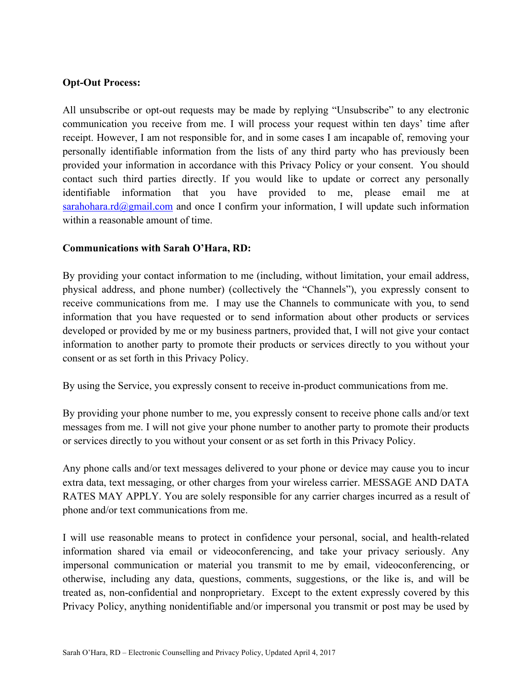### **Opt-Out Process:**

All unsubscribe or opt-out requests may be made by replying "Unsubscribe" to any electronic communication you receive from me. I will process your request within ten days' time after receipt. However, I am not responsible for, and in some cases I am incapable of, removing your personally identifiable information from the lists of any third party who has previously been provided your information in accordance with this Privacy Policy or your consent. You should contact such third parties directly. If you would like to update or correct any personally identifiable information that you have provided to me, please email me at sarahohara.rd@gmail.com and once I confirm your information, I will update such information within a reasonable amount of time.

### **Communications with Sarah O'Hara, RD:**

By providing your contact information to me (including, without limitation, your email address, physical address, and phone number) (collectively the "Channels"), you expressly consent to receive communications from me. I may use the Channels to communicate with you, to send information that you have requested or to send information about other products or services developed or provided by me or my business partners, provided that, I will not give your contact information to another party to promote their products or services directly to you without your consent or as set forth in this Privacy Policy.

By using the Service, you expressly consent to receive in-product communications from me.

By providing your phone number to me, you expressly consent to receive phone calls and/or text messages from me. I will not give your phone number to another party to promote their products or services directly to you without your consent or as set forth in this Privacy Policy.

Any phone calls and/or text messages delivered to your phone or device may cause you to incur extra data, text messaging, or other charges from your wireless carrier. MESSAGE AND DATA RATES MAY APPLY. You are solely responsible for any carrier charges incurred as a result of phone and/or text communications from me.

I will use reasonable means to protect in confidence your personal, social, and health-related information shared via email or videoconferencing, and take your privacy seriously. Any impersonal communication or material you transmit to me by email, videoconferencing, or otherwise, including any data, questions, comments, suggestions, or the like is, and will be treated as, non-confidential and nonproprietary. Except to the extent expressly covered by this Privacy Policy, anything nonidentifiable and/or impersonal you transmit or post may be used by